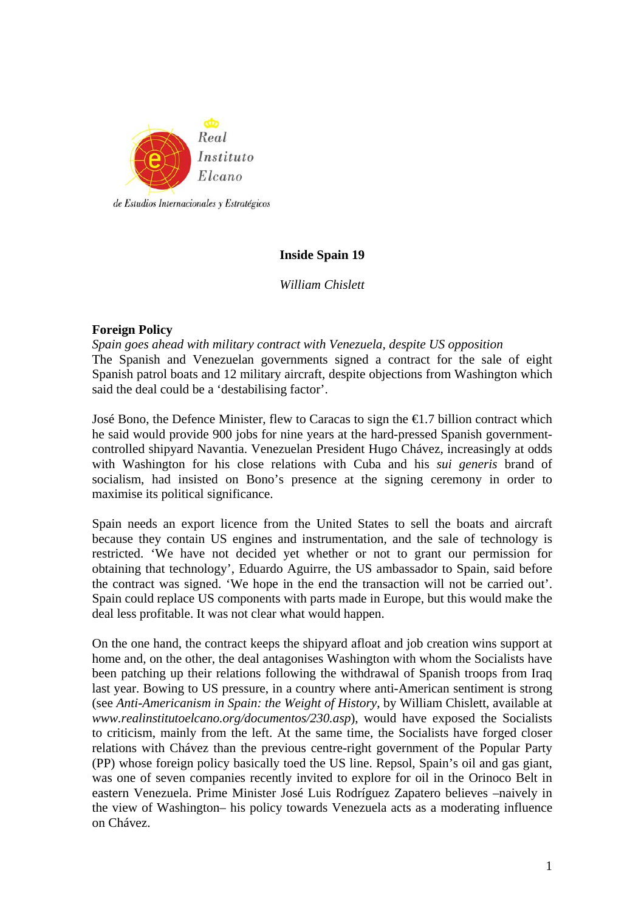

# **Inside Spain 19**

*William Chislett* 

# **Foreign Policy**

*Spain goes ahead with military contract with Venezuela, despite US opposition*  The Spanish and Venezuelan governments signed a contract for the sale of eight Spanish patrol boats and 12 military aircraft, despite objections from Washington which said the deal could be a 'destabilising factor'.

José Bono, the Defence Minister, flew to Caracas to sign the €1.7 billion contract which he said would provide 900 jobs for nine years at the hard-pressed Spanish governmentcontrolled shipyard Navantia. Venezuelan President Hugo Chávez, increasingly at odds with Washington for his close relations with Cuba and his *sui generis* brand of socialism, had insisted on Bono's presence at the signing ceremony in order to maximise its political significance.

Spain needs an export licence from the United States to sell the boats and aircraft because they contain US engines and instrumentation, and the sale of technology is restricted. 'We have not decided yet whether or not to grant our permission for obtaining that technology', Eduardo Aguirre, the US ambassador to Spain, said before the contract was signed. 'We hope in the end the transaction will not be carried out'. Spain could replace US components with parts made in Europe, but this would make the deal less profitable. It was not clear what would happen.

On the one hand, the contract keeps the shipyard afloat and job creation wins support at home and, on the other, the deal antagonises Washington with whom the Socialists have been patching up their relations following the withdrawal of Spanish troops from Iraq last year. Bowing to US pressure, in a country where anti-American sentiment is strong (see *Anti-Americanism in Spain: the Weight of History*, by William Chislett, available at *www.realinstitutoelcano.org/documentos/230.asp*), would have exposed the Socialists to criticism, mainly from the left. At the same time, the Socialists have forged closer relations with Chávez than the previous centre-right government of the Popular Party (PP) whose foreign policy basically toed the US line. Repsol, Spain's oil and gas giant, was one of seven companies recently invited to explore for oil in the Orinoco Belt in eastern Venezuela. Prime Minister José Luis Rodríguez Zapatero believes –naively in the view of Washington– his policy towards Venezuela acts as a moderating influence on Chávez.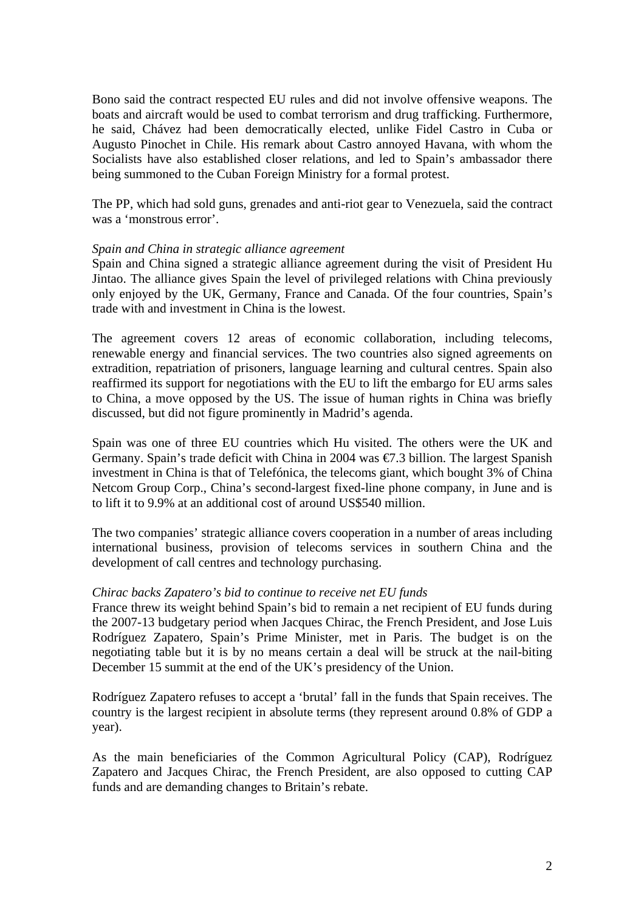Bono said the contract respected EU rules and did not involve offensive weapons. The boats and aircraft would be used to combat terrorism and drug trafficking. Furthermore, he said, Chávez had been democratically elected, unlike Fidel Castro in Cuba or Augusto Pinochet in Chile. His remark about Castro annoyed Havana, with whom the Socialists have also established closer relations, and led to Spain's ambassador there being summoned to the Cuban Foreign Ministry for a formal protest.

The PP, which had sold guns, grenades and anti-riot gear to Venezuela, said the contract was a 'monstrous error'.

#### *Spain and China in strategic alliance agreement*

Spain and China signed a strategic alliance agreement during the visit of President Hu Jintao. The alliance gives Spain the level of privileged relations with China previously only enjoyed by the UK, Germany, France and Canada. Of the four countries, Spain's trade with and investment in China is the lowest.

The agreement covers 12 areas of economic collaboration, including telecoms, renewable energy and financial services. The two countries also signed agreements on extradition, repatriation of prisoners, language learning and cultural centres. Spain also reaffirmed its support for negotiations with the EU to lift the embargo for EU arms sales to China, a move opposed by the US. The issue of human rights in China was briefly discussed, but did not figure prominently in Madrid's agenda.

Spain was one of three EU countries which Hu visited. The others were the UK and Germany. Spain's trade deficit with China in 2004 was €7.3 billion. The largest Spanish investment in China is that of Telefónica, the telecoms giant, which bought 3% of China Netcom Group Corp., China's second-largest fixed-line phone company, in June and is to lift it to 9.9% at an additional cost of around US\$540 million.

The two companies' strategic alliance covers cooperation in a number of areas including international business, provision of telecoms services in southern China and the development of call centres and technology purchasing.

#### *Chirac backs Zapatero's bid to continue to receive net EU funds*

France threw its weight behind Spain's bid to remain a net recipient of EU funds during the 2007-13 budgetary period when Jacques Chirac, the French President, and Jose Luis Rodríguez Zapatero, Spain's Prime Minister, met in Paris. The budget is on the negotiating table but it is by no means certain a deal will be struck at the nail-biting December 15 summit at the end of the UK's presidency of the Union.

Rodríguez Zapatero refuses to accept a 'brutal' fall in the funds that Spain receives. The country is the largest recipient in absolute terms (they represent around 0.8% of GDP a year).

As the main beneficiaries of the Common Agricultural Policy (CAP), Rodríguez Zapatero and Jacques Chirac, the French President, are also opposed to cutting CAP funds and are demanding changes to Britain's rebate.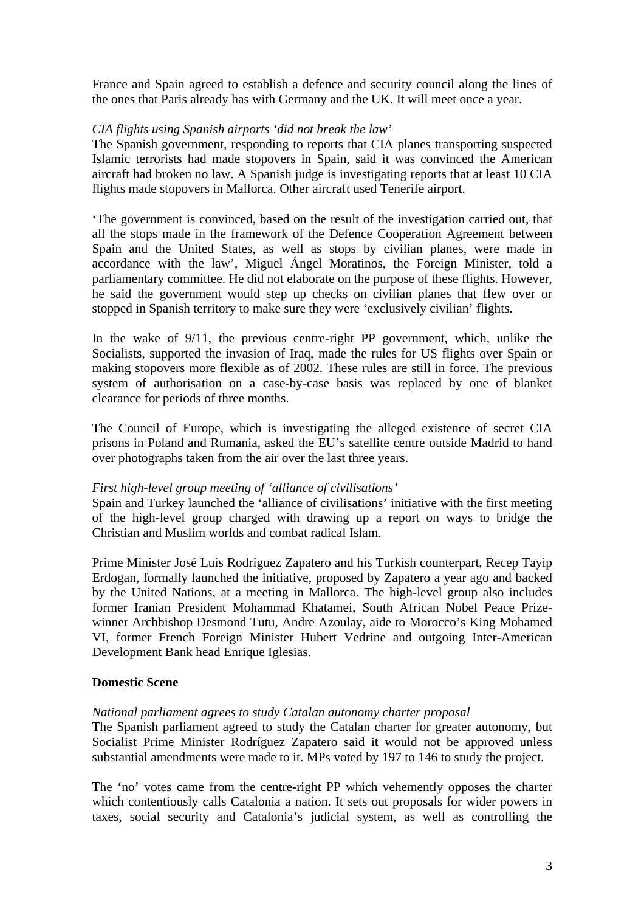France and Spain agreed to establish a defence and security council along the lines of the ones that Paris already has with Germany and the UK. It will meet once a year.

# *CIA flights using Spanish airports 'did not break the law'*

The Spanish government, responding to reports that CIA planes transporting suspected Islamic terrorists had made stopovers in Spain, said it was convinced the American aircraft had broken no law. A Spanish judge is investigating reports that at least 10 CIA flights made stopovers in Mallorca. Other aircraft used Tenerife airport.

'The government is convinced, based on the result of the investigation carried out, that all the stops made in the framework of the Defence Cooperation Agreement between Spain and the United States, as well as stops by civilian planes, were made in accordance with the law', Miguel Ángel Moratinos, the Foreign Minister, told a parliamentary committee. He did not elaborate on the purpose of these flights. However, he said the government would step up checks on civilian planes that flew over or stopped in Spanish territory to make sure they were 'exclusively civilian' flights.

In the wake of 9/11, the previous centre-right PP government, which, unlike the Socialists, supported the invasion of Iraq, made the rules for US flights over Spain or making stopovers more flexible as of 2002. These rules are still in force. The previous system of authorisation on a case-by-case basis was replaced by one of blanket clearance for periods of three months.

The Council of Europe, which is investigating the alleged existence of secret CIA prisons in Poland and Rumania, asked the EU's satellite centre outside Madrid to hand over photographs taken from the air over the last three years.

# *First high-level group meeting of 'alliance of civilisations'*

Spain and Turkey launched the 'alliance of civilisations' initiative with the first meeting of the high-level group charged with drawing up a report on ways to bridge the Christian and Muslim worlds and combat radical Islam.

Prime Minister José Luis Rodríguez Zapatero and his Turkish counterpart, Recep Tayip Erdogan, formally launched the initiative, proposed by Zapatero a year ago and backed by the United Nations, at a meeting in Mallorca. The high-level group also includes former Iranian President Mohammad Khatamei, South African Nobel Peace Prizewinner Archbishop Desmond Tutu, Andre Azoulay, aide to Morocco's King Mohamed VI, former French Foreign Minister Hubert Vedrine and outgoing Inter-American Development Bank head Enrique Iglesias.

# **Domestic Scene**

# *National parliament agrees to study Catalan autonomy charter proposal*

The Spanish parliament agreed to study the Catalan charter for greater autonomy, but Socialist Prime Minister Rodríguez Zapatero said it would not be approved unless substantial amendments were made to it. MPs voted by 197 to 146 to study the project.

The 'no' votes came from the centre-right PP which vehemently opposes the charter which contentiously calls Catalonia a nation. It sets out proposals for wider powers in taxes, social security and Catalonia's judicial system, as well as controlling the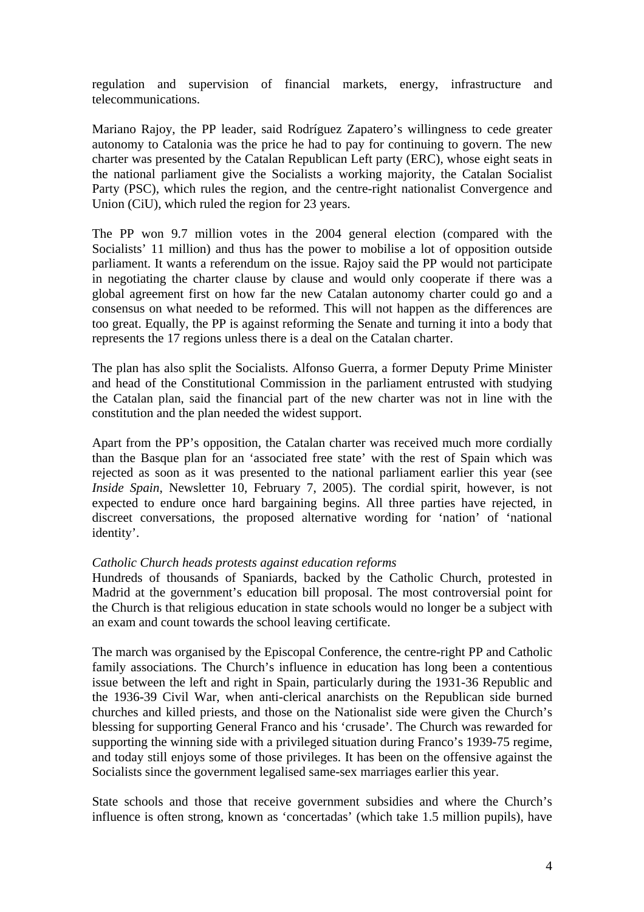regulation and supervision of financial markets, energy, infrastructure and telecommunications.

Mariano Rajoy, the PP leader, said Rodríguez Zapatero's willingness to cede greater autonomy to Catalonia was the price he had to pay for continuing to govern. The new charter was presented by the Catalan Republican Left party (ERC), whose eight seats in the national parliament give the Socialists a working majority, the Catalan Socialist Party (PSC), which rules the region, and the centre-right nationalist Convergence and Union (CiU), which ruled the region for 23 years.

The PP won 9.7 million votes in the 2004 general election (compared with the Socialists' 11 million) and thus has the power to mobilise a lot of opposition outside parliament. It wants a referendum on the issue. Rajoy said the PP would not participate in negotiating the charter clause by clause and would only cooperate if there was a global agreement first on how far the new Catalan autonomy charter could go and a consensus on what needed to be reformed. This will not happen as the differences are too great. Equally, the PP is against reforming the Senate and turning it into a body that represents the 17 regions unless there is a deal on the Catalan charter.

The plan has also split the Socialists. Alfonso Guerra, a former Deputy Prime Minister and head of the Constitutional Commission in the parliament entrusted with studying the Catalan plan, said the financial part of the new charter was not in line with the constitution and the plan needed the widest support.

Apart from the PP's opposition, the Catalan charter was received much more cordially than the Basque plan for an 'associated free state' with the rest of Spain which was rejected as soon as it was presented to the national parliament earlier this year (see *Inside Spain*, Newsletter 10, February 7, 2005). The cordial spirit, however, is not expected to endure once hard bargaining begins. All three parties have rejected, in discreet conversations, the proposed alternative wording for 'nation' of 'national identity'.

# *Catholic Church heads protests against education reforms*

Hundreds of thousands of Spaniards, backed by the Catholic Church, protested in Madrid at the government's education bill proposal. The most controversial point for the Church is that religious education in state schools would no longer be a subject with an exam and count towards the school leaving certificate.

The march was organised by the Episcopal Conference, the centre-right PP and Catholic family associations. The Church's influence in education has long been a contentious issue between the left and right in Spain, particularly during the 1931-36 Republic and the 1936-39 Civil War, when anti-clerical anarchists on the Republican side burned churches and killed priests, and those on the Nationalist side were given the Church's blessing for supporting General Franco and his 'crusade'. The Church was rewarded for supporting the winning side with a privileged situation during Franco's 1939-75 regime, and today still enjoys some of those privileges. It has been on the offensive against the Socialists since the government legalised same-sex marriages earlier this year.

State schools and those that receive government subsidies and where the Church's influence is often strong, known as 'concertadas' (which take 1.5 million pupils), have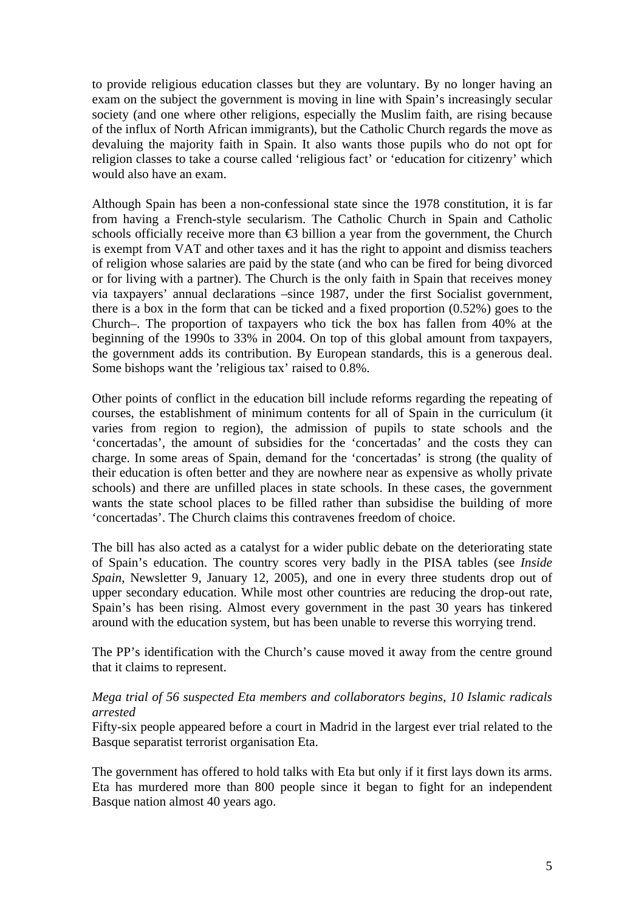to provide religious education classes but they are voluntary. By no longer having an exam on the subject the government is moving in line with Spain's increasingly secular society (and one where other religions, especially the Muslim faith, are rising because of the influx of North African immigrants), but the Catholic Church regards the move as devaluing the majority faith in Spain. It also wants those pupils who do not opt for religion classes to take a course called 'religious fact' or 'education for citizenry' which would also have an exam.

Although Spain has been a non-confessional state since the 1978 constitution, it is far from having a French-style secularism. The Catholic Church in Spain and Catholic schools officially receive more than  $\epsilon$ 3 billion a year from the government, the Church is exempt from VAT and other taxes and it has the right to appoint and dismiss teachers of religion whose salaries are paid by the state (and who can be fired for being divorced or for living with a partner). The Church is the only faith in Spain that receives money via taxpayers' annual declarations –since 1987, under the first Socialist government, there is a box in the form that can be ticked and a fixed proportion (0.52%) goes to the Church–. The proportion of taxpayers who tick the box has fallen from 40% at the beginning of the 1990s to 33% in 2004. On top of this global amount from taxpayers, the government adds its contribution. By European standards, this is a generous deal. Some bishops want the 'religious tax' raised to 0.8%.

Other points of conflict in the education bill include reforms regarding the repeating of courses, the establishment of minimum contents for all of Spain in the curriculum (it varies from region to region), the admission of pupils to state schools and the 'concertadas', the amount of subsidies for the 'concertadas' and the costs they can charge. In some areas of Spain, demand for the 'concertadas' is strong (the quality of their education is often better and they are nowhere near as expensive as wholly private schools) and there are unfilled places in state schools. In these cases, the government wants the state school places to be filled rather than subsidise the building of more 'concertadas'. The Church claims this contravenes freedom of choice.

The bill has also acted as a catalyst for a wider public debate on the deteriorating state of Spain's education. The country scores very badly in the PISA tables (see *Inside Spain*, Newsletter 9, January 12, 2005), and one in every three students drop out of upper secondary education. While most other countries are reducing the drop-out rate, Spain's has been rising. Almost every government in the past 30 years has tinkered around with the education system, but has been unable to reverse this worrying trend.

The PP's identification with the Church's cause moved it away from the centre ground that it claims to represent.

# *Mega trial of 56 suspected Eta members and collaborators begins, 10 Islamic radicals arrested*

Fifty-six people appeared before a court in Madrid in the largest ever trial related to the Basque separatist terrorist organisation Eta.

The government has offered to hold talks with Eta but only if it first lays down its arms. Eta has murdered more than 800 people since it began to fight for an independent Basque nation almost 40 years ago.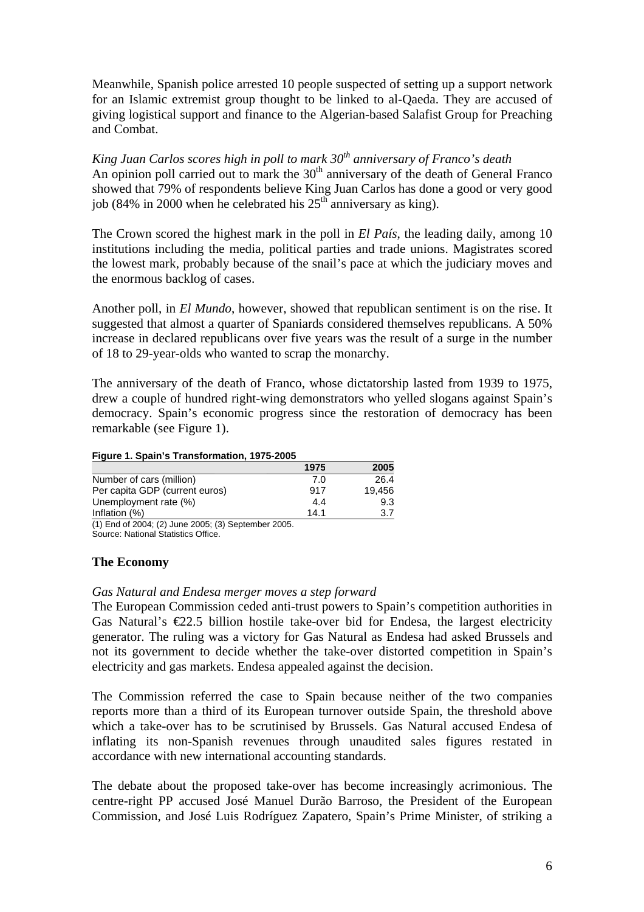Meanwhile, Spanish police arrested 10 people suspected of setting up a support network for an Islamic extremist group thought to be linked to al-Qaeda. They are accused of giving logistical support and finance to the Algerian-based Salafist Group for Preaching and Combat.

*King Juan Carlos scores high in poll to mark 30th anniversary of Franco's death*  An opinion poll carried out to mark the 30<sup>th</sup> anniversary of the death of General Franco showed that 79% of respondents believe King Juan Carlos has done a good or very good job (84% in 2000 when he celebrated his  $25<sup>th</sup>$  anniversary as king).

The Crown scored the highest mark in the poll in *El País*, the leading daily, among 10 institutions including the media, political parties and trade unions. Magistrates scored the lowest mark, probably because of the snail's pace at which the judiciary moves and the enormous backlog of cases.

Another poll, in *El Mundo*, however, showed that republican sentiment is on the rise. It suggested that almost a quarter of Spaniards considered themselves republicans. A 50% increase in declared republicans over five years was the result of a surge in the number of 18 to 29-year-olds who wanted to scrap the monarchy.

The anniversary of the death of Franco, whose dictatorship lasted from 1939 to 1975, drew a couple of hundred right-wing demonstrators who yelled slogans against Spain's democracy. Spain's economic progress since the restoration of democracy has been remarkable (see Figure 1).

#### **Figure 1. Spain's Transformation, 1975-2005**

|                                                          | 1975 | 2005   |
|----------------------------------------------------------|------|--------|
| Number of cars (million)                                 | 7.0  | 26.4   |
| Per capita GDP (current euros)                           | 917  | 19.456 |
| Unemployment rate (%)                                    | 4.4  | 9.3    |
| Inflation (%)                                            | 14.1 | 3.7    |
| $(4)$ End of 2004: $(2)$ line 2005: $(2)$ Contember 2005 |      |        |

(1) End of 2004; (2) June 2005; (3) September 2005. Source: National Statistics Office.

# **The Economy**

# *Gas Natural and Endesa merger moves a step forward*

The European Commission ceded anti-trust powers to Spain's competition authorities in Gas Natural's  $\epsilon$ 2.5 billion hostile take-over bid for Endesa, the largest electricity generator. The ruling was a victory for Gas Natural as Endesa had asked Brussels and not its government to decide whether the take-over distorted competition in Spain's electricity and gas markets. Endesa appealed against the decision.

The Commission referred the case to Spain because neither of the two companies reports more than a third of its European turnover outside Spain, the threshold above which a take-over has to be scrutinised by Brussels. Gas Natural accused Endesa of inflating its non-Spanish revenues through unaudited sales figures restated in accordance with new international accounting standards.

The debate about the proposed take-over has become increasingly acrimonious. The centre-right PP accused José Manuel Durão Barroso, the President of the European Commission, and José Luis Rodríguez Zapatero, Spain's Prime Minister, of striking a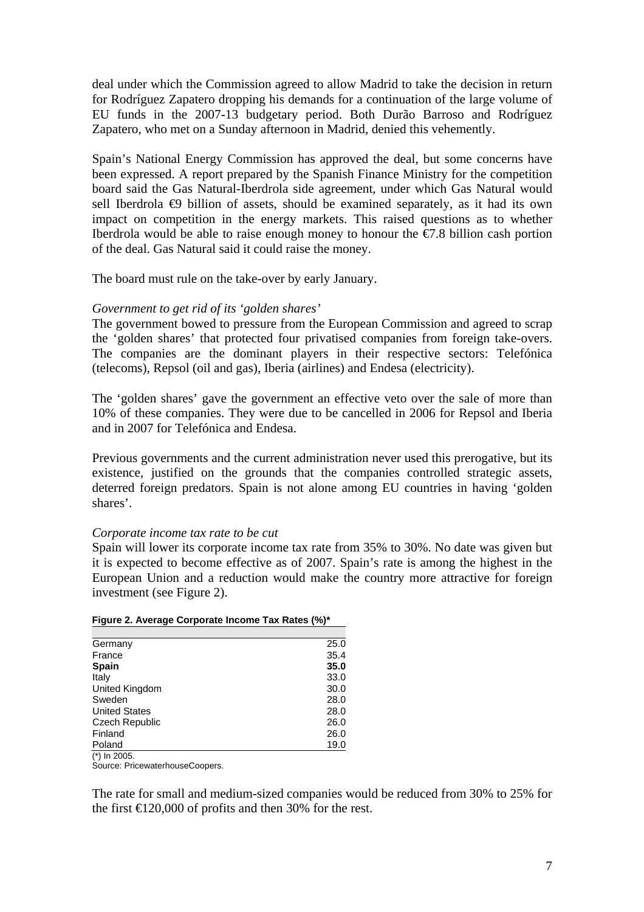deal under which the Commission agreed to allow Madrid to take the decision in return for Rodríguez Zapatero dropping his demands for a continuation of the large volume of EU funds in the 2007-13 budgetary period. Both Durão Barroso and Rodríguez Zapatero, who met on a Sunday afternoon in Madrid, denied this vehemently.

Spain's National Energy Commission has approved the deal, but some concerns have been expressed. A report prepared by the Spanish Finance Ministry for the competition board said the Gas Natural-Iberdrola side agreement, under which Gas Natural would sell Iberdrola  $\oplus$  billion of assets, should be examined separately, as it had its own impact on competition in the energy markets. This raised questions as to whether Iberdrola would be able to raise enough money to honour the  $\epsilon/7.8$  billion cash portion of the deal. Gas Natural said it could raise the money.

The board must rule on the take-over by early January.

# *Government to get rid of its 'golden shares'*

The government bowed to pressure from the European Commission and agreed to scrap the 'golden shares' that protected four privatised companies from foreign take-overs. The companies are the dominant players in their respective sectors: Telefónica (telecoms), Repsol (oil and gas), Iberia (airlines) and Endesa (electricity).

The 'golden shares' gave the government an effective veto over the sale of more than 10% of these companies. They were due to be cancelled in 2006 for Repsol and Iberia and in 2007 for Telefónica and Endesa.

Previous governments and the current administration never used this prerogative, but its existence, justified on the grounds that the companies controlled strategic assets, deterred foreign predators. Spain is not alone among EU countries in having 'golden shares'.

# *Corporate income tax rate to be cut*

Spain will lower its corporate income tax rate from 35% to 30%. No date was given but it is expected to become effective as of 2007. Spain's rate is among the highest in the European Union and a reduction would make the country more attractive for foreign investment (see Figure 2).

| Germany              | 25.0 |
|----------------------|------|
| France               | 35.4 |
| Spain                | 35.0 |
| Italy                | 33.0 |
| United Kingdom       | 30.0 |
| Sweden               | 28.0 |
| <b>United States</b> | 28.0 |
| Czech Republic       | 26.0 |
| Finland              | 26.0 |
| Poland               | 19.0 |
| (*) In 2005.         |      |

|  | Figure 2. Average Corporate Income Tax Rates (%)* |  |  |
|--|---------------------------------------------------|--|--|
|  |                                                   |  |  |

Source: PricewaterhouseCoopers.

The rate for small and medium-sized companies would be reduced from 30% to 25% for the first  $\bigoplus$  20,000 of profits and then 30% for the rest.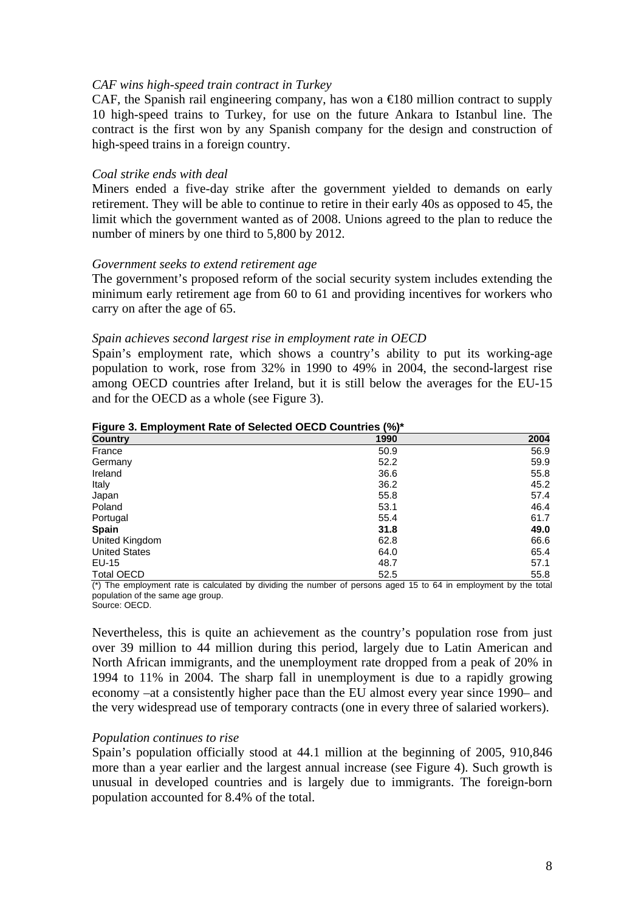#### *CAF wins high-speed train contract in Turkey*

CAF, the Spanish rail engineering company, has won a  $\in$  180 million contract to supply 10 high-speed trains to Turkey, for use on the future Ankara to Istanbul line. The contract is the first won by any Spanish company for the design and construction of high-speed trains in a foreign country.

#### *Coal strike ends with deal*

Miners ended a five-day strike after the government yielded to demands on early retirement. They will be able to continue to retire in their early 40s as opposed to 45, the limit which the government wanted as of 2008. Unions agreed to the plan to reduce the number of miners by one third to 5,800 by 2012.

#### *Government seeks to extend retirement age*

The government's proposed reform of the social security system includes extending the minimum early retirement age from 60 to 61 and providing incentives for workers who carry on after the age of 65.

#### *Spain achieves second largest rise in employment rate in OECD*

Spain's employment rate, which shows a country's ability to put its working-age population to work, rose from 32% in 1990 to 49% in 2004, the second-largest rise among OECD countries after Ireland, but it is still below the averages for the EU-15 and for the OECD as a whole (see Figure 3).

| <b>Country</b>       | 1990 | 2004 |
|----------------------|------|------|
| France               | 50.9 | 56.9 |
| Germany              | 52.2 | 59.9 |
| Ireland              | 36.6 | 55.8 |
| Italy                | 36.2 | 45.2 |
| Japan                | 55.8 | 57.4 |
| Poland               | 53.1 | 46.4 |
| Portugal             | 55.4 | 61.7 |
| <b>Spain</b>         | 31.8 | 49.0 |
| United Kingdom       | 62.8 | 66.6 |
| <b>United States</b> | 64.0 | 65.4 |
| EU-15                | 48.7 | 57.1 |
| <b>Total OECD</b>    | 52.5 | 55.8 |

**Figure 3. Employment Rate of Selected OECD Countries (%)\*** 

 $(*)$  The employment rate is calculated by dividing the number of persons aged 15 to 64 in employment by the total population of the same age group. Source: OECD.

Nevertheless, this is quite an achievement as the country's population rose from just over 39 million to 44 million during this period, largely due to Latin American and North African immigrants, and the unemployment rate dropped from a peak of 20% in 1994 to 11% in 2004. The sharp fall in unemployment is due to a rapidly growing economy –at a consistently higher pace than the EU almost every year since 1990– and the very widespread use of temporary contracts (one in every three of salaried workers).

# *Population continues to rise*

Spain's population officially stood at 44.1 million at the beginning of 2005, 910,846 more than a year earlier and the largest annual increase (see Figure 4). Such growth is unusual in developed countries and is largely due to immigrants. The foreign-born population accounted for 8.4% of the total.